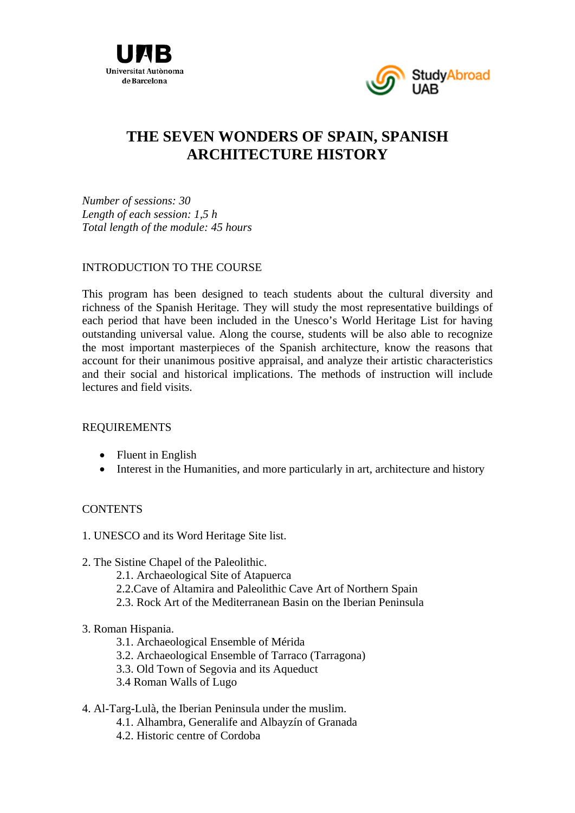



# **THE SEVEN WONDERS OF SPAIN, SPANISH ARCHITECTURE HISTORY**

*Number of sessions: 30 Length of each session: 1,5 h Total length of the module: 45 hours* 

### INTRODUCTION TO THE COURSE

This program has been designed to teach students about the cultural diversity and richness of the Spanish Heritage. They will study the most representative buildings of each period that have been included in the Unesco's World Heritage List for having outstanding universal value. Along the course, students will be also able to recognize the most important masterpieces of the Spanish architecture, know the reasons that account for their unanimous positive appraisal, and analyze their artistic characteristics and their social and historical implications. The methods of instruction will include lectures and field visits.

#### REQUIREMENTS

- Fluent in English
- Interest in the Humanities, and more particularly in art, architecture and history

#### **CONTENTS**

- 1. UNESCO and its Word Heritage Site list.
- 2. The Sistine Chapel of the Paleolithic.
	- 2.1. Archaeological Site of Atapuerca
	- 2.2.Cave of Altamira and Paleolithic Cave Art of Northern Spain
	- 2.3. Rock Art of the Mediterranean Basin on the Iberian Peninsula

#### 3. Roman Hispania.

- 3.1. Archaeological Ensemble of Mérida
- 3.2. Archaeological Ensemble of Tarraco (Tarragona)
- 3.3. Old Town of Segovia and its Aqueduct
- 3.4 Roman Walls of Lugo
- 4. Al-Targ-Lulà, the Iberian Peninsula under the muslim.
	- 4.1. Alhambra, Generalife and Albayzín of Granada
	- 4.2. Historic centre of Cordoba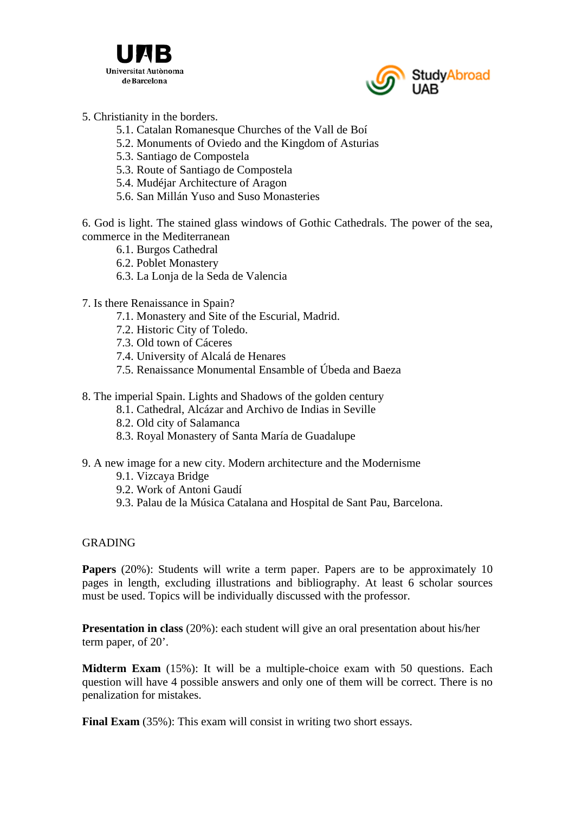



- 5. Christianity in the borders.
	- 5.1. Catalan Romanesque Churches of the Vall de Boí
	- 5.2. Monuments of Oviedo and the Kingdom of Asturias
	- 5.3. Santiago de Compostela
	- 5.3. Route of Santiago de Compostela
	- 5.4. Mudéjar Architecture of Aragon
	- 5.6. San Millán Yuso and Suso Monasteries

6. God is light. The stained glass windows of Gothic Cathedrals. The power of the sea, commerce in the Mediterranean

- 6.1. Burgos Cathedral
- 6.2. Poblet Monastery
- 6.3. La Lonja de la Seda de Valencia
- 7. Is there Renaissance in Spain?
	- 7.1. Monastery and Site of the Escurial, Madrid.
	- 7.2. Historic City of Toledo.
	- 7.3. Old town of Cáceres
	- 7.4. University of Alcalá de Henares
	- 7.5. Renaissance Monumental Ensamble of Úbeda and Baeza

8. The imperial Spain. Lights and Shadows of the golden century

- 8.1. Cathedral, Alcázar and Archivo de Indias in Seville
- 8.2. Old city of Salamanca
- 8.3. Royal Monastery of Santa María de Guadalupe
- 9. A new image for a new city. Modern architecture and the Modernisme
	- 9.1. Vizcaya Bridge
	- 9.2. Work of Antoni Gaudí
	- 9.3. Palau de la Música Catalana and Hospital de Sant Pau, Barcelona.

#### GRADING

**Papers** (20%): Students will write a term paper. Papers are to be approximately 10 pages in length, excluding illustrations and bibliography. At least 6 scholar sources must be used. Topics will be individually discussed with the professor.

**Presentation in class** (20%): each student will give an oral presentation about his/her term paper, of 20'.

**Midterm Exam** (15%): It will be a multiple-choice exam with 50 questions. Each question will have 4 possible answers and only one of them will be correct. There is no penalization for mistakes.

**Final Exam** (35%): This exam will consist in writing two short essays.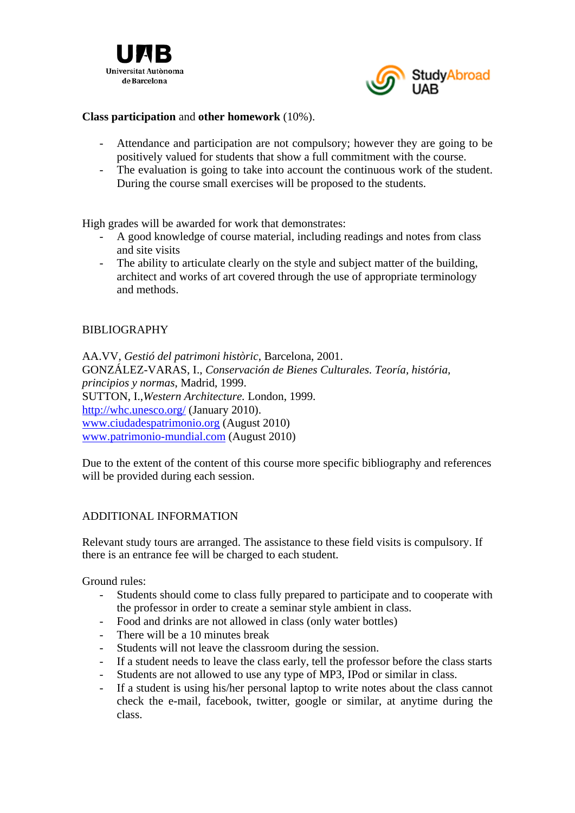



#### **Class participation** and **other homework** (10%).

- Attendance and participation are not compulsory; however they are going to be positively valued for students that show a full commitment with the course.
- The evaluation is going to take into account the continuous work of the student. During the course small exercises will be proposed to the students.

High grades will be awarded for work that demonstrates:

- A good knowledge of course material, including readings and notes from class and site visits
- The ability to articulate clearly on the style and subject matter of the building, architect and works of art covered through the use of appropriate terminology and methods.

### BIBLIOGRAPHY

AA.VV, *Gestió del patrimoni històric*, Barcelona, 2001. GONZÁLEZ-VARAS, I., *Conservación de Bienes Culturales. Teoría, história, principios y normas*, Madrid, 1999. SUTTON, I.,*Western Architecture.* London, 1999. http://whc.unesco.org/ (January 2010). www.ciudadespatrimonio.org (August 2010) www.patrimonio-mundial.com (August 2010)

Due to the extent of the content of this course more specific bibliography and references will be provided during each session.

## ADDITIONAL INFORMATION

Relevant study tours are arranged. The assistance to these field visits is compulsory. If there is an entrance fee will be charged to each student.

Ground rules:

- Students should come to class fully prepared to participate and to cooperate with the professor in order to create a seminar style ambient in class.
- Food and drinks are not allowed in class (only water bottles)
- There will be a 10 minutes break
- Students will not leave the classroom during the session.
- If a student needs to leave the class early, tell the professor before the class starts
- Students are not allowed to use any type of MP3, IPod or similar in class.
- If a student is using his/her personal laptop to write notes about the class cannot check the e-mail, facebook, twitter, google or similar, at anytime during the class.